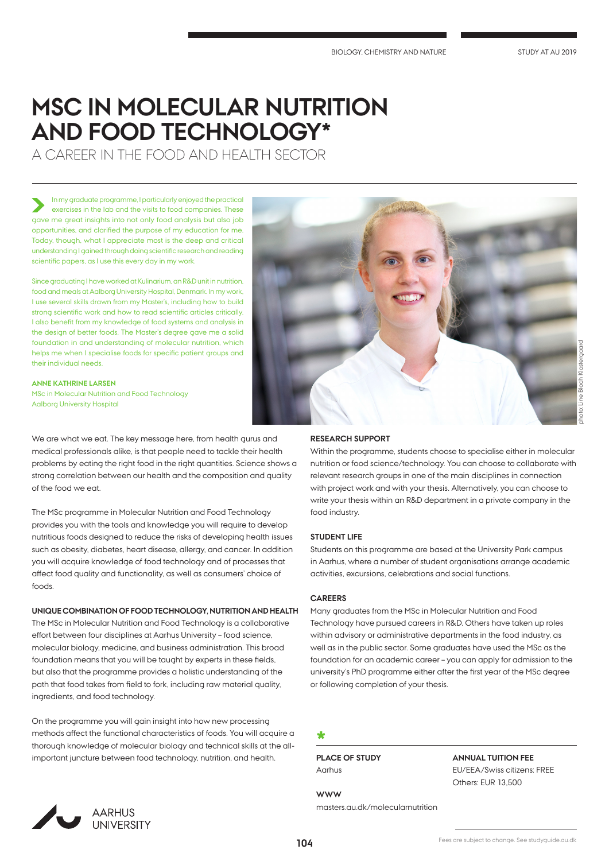# **MSC IN MOLECULAR NUTRITION AND FOOD TECHNOLOGY\***

A CAREER IN THE FOOD AND HEALTH SECTOR

## In my graduate programme, I particularly enjoyed the practical exercises in the lab and the visits to food companies. These gave me great insights into not only food analysis but also job opportunities, and clarified the purpose of my education for me. Today, though, what I appreciate most is the deep and critical understanding I gained through doing scientific research and reading scientific papers, as I use this every day in my work.

Since graduating I have worked at Kulinarium, an R&D unit in nutrition, food and meals at Aalborg University Hospital, Denmark. In my work, I use several skills drawn from my Master's, including how to build strong scientific work and how to read scientific articles critically. I also benefit from my knowledge of food systems and analysis in the design of better foods. The Master's degree gave me a solid foundation in and understanding of molecular nutrition, which helps me when I specialise foods for specific patient groups and their individual needs.

**ANNE KATHRINE LARSEN** MSc in Molecular Nutrition and Food Technology Aalborg University Hospital

We are what we eat. The key message here, from health gurus and medical professionals alike, is that people need to tackle their health problems by eating the right food in the right quantities. Science shows a strong correlation between our health and the composition and quality of the food we eat.

The MSc programme in Molecular Nutrition and Food Technology provides you with the tools and knowledge you will require to develop nutritious foods designed to reduce the risks of developing health issues such as obesity, diabetes, heart disease, allergy, and cancer. In addition you will acquire knowledge of food technology and of processes that affect food quality and functionality, as well as consumers' choice of foods.

## **UNIQUE COMBINATION OF FOOD TECHNOLOGY, NUTRITION AND HEALTH**

The MSc in Molecular Nutrition and Food Technology is a collaborative effort between four disciplines at Aarhus University – food science, molecular biology, medicine, and business administration. This broad foundation means that you will be taught by experts in these fields, but also that the programme provides a holistic understanding of the path that food takes from field to fork, including raw material quality, ingredients, and food technology.

On the programme you will gain insight into how new processing methods affect the functional characteristics of foods. You will acquire a thorough knowledge of molecular biology and technical skills at the allimportant juncture between food technology, nutrition, and health.



# **RESEARCH SUPPORT**

Within the programme, students choose to specialise either in molecular nutrition or food science/technology. You can choose to collaborate with relevant research groups in one of the main disciplines in connection with project work and with your thesis. Alternatively, you can choose to write your thesis within an R&D department in a private company in the food industry.

# **STUDENT LIFE**

Students on this programme are based at the University Park campus in Aarhus, where a number of student organisations arrange academic activities, excursions, celebrations and social functions.

# **CAREERS**

Many graduates from the MSc in Molecular Nutrition and Food Technology have pursued careers in R&D. Others have taken up roles within advisory or administrative departments in the food industry, as well as in the public sector. Some graduates have used the MSc as the foundation for an academic career – you can apply for admission to the university's PhD programme either after the first year of the MSc degree or following completion of your thesis.

# **\***

**WWW**

**PLACE OF STUDY** Aarhus

masters.au.dk/molecularnutrition

# **ANNUAL TUITION FEE**

EU/EEA/Swiss citizens: FREE Others: EUR 13,500